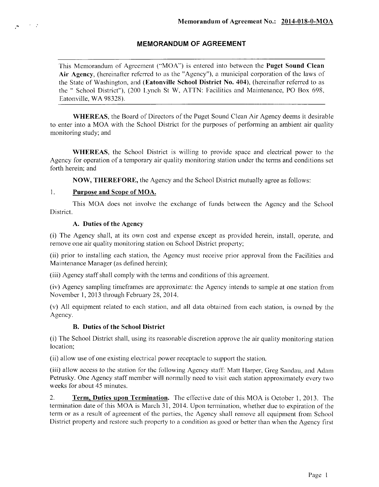# **MEMORANDUM OF AGREEMENT**

This Memorandum of Agreement ("MOA") is entered into between the **Puget Sound Clean Air Agency,** (hereinafter referred to as the "Agency"), a municipal corporation of the laws of the State of Washington, and **(Eatonville School District** No. **404),** (hereinafter referred to as the " School District"), (200 Lynch St W, ATTN: Facilities and Maintenance, PO Box 698, Eatonville, WA 98328).

**WHEREAS,** the Board of Directors of the Puget Sound Clean Air Agency deems it desirable to enter into a MOA with the School District for the purposes of performing an ambient air quality monitoring study; and

**WHEREAS,** the School District is willing to provide space and electrical power to the Agency for operation of a temporary air quality monitoring station under the terms and conditions set forth herein; and

**NOW, THEREFORE,** the Agency and the School District mutually agree as follows:

### **<sup>1</sup> . Purpose and Scope of MOA.**

 $\sim 10^{-11}$  km  $^{-2}$ 

This MOA does not involve the exchange of funds between the Agency and the School District.

#### **A. Duties of the Agency**

(i) The Agency shall, at its own cost and expense except as provided herein, install, operate, and remove one air quality monitoring station on School District property;

(ii) prior to installing each station, the Agency must receive prior approval from the Facilities and Maintenance Manager (as defined herein);

(iii) Agency staff shall comply with the terms and conditions of this agreement.

(iv) Agency sampling timeframes are approximate: the Agency intends to sample at one station from November 1, 2013 through February 28, 2014.

(v) All equipment related to each station, and all data obtained from each station, is owned by the Agency.

# **B. Duties of the School District**

(i) The School District shall, using its reasonable discretion approve the air quality monitoring station location;

(ii) allow use of one existing electrical power receptacle to support the station.

(iii) allow access to the station for the following Agency staff: Matt Harper, Greg Sandau, and Adam Petrusky. One Agency staff member will normally need to visit each station approximately every two weeks for about 45 minutes.

**2. Term, Duties upon Termination.** The effective date of this MOA is October 1, 2013. The termination date of this MOA is March 31, 2014. Upon termination, whether due to expiration of the term or as a result of agreement of the parties, the Agency shall remove all equipment from School District property and restore such property to a condition as good or better than when the Agency first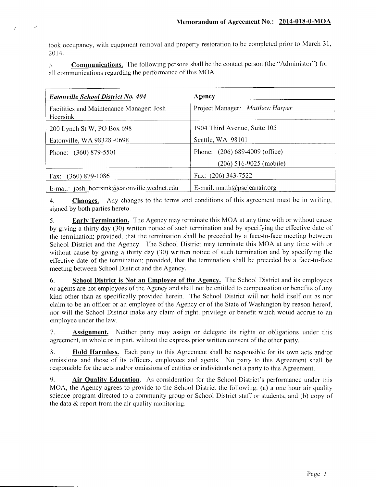took occupancy, with equpment removal and property restoration to be completed prior to March 31, 2014.

Ŀ,

**3. Communications.** The following persons shall be the contact person (the "Administer") for all communications regarding the performance of this MOA.

| <b>Eatonville School District No. 404</b>            | Agency                           |
|------------------------------------------------------|----------------------------------|
| Facilities and Maintenance Manager: Josh<br>Heersink | Project Manager: Matthew Harper  |
| 200 Lynch St W, PO Box 698                           | 1904 Third Avenue, Suite 105     |
| Eatonville, WA 98328 -0698                           | Seattle, WA 98101                |
| Phone: (360) 879-5501                                | Phone: (206) 689-4009 (office)   |
|                                                      | $(206)$ 516-9025 (mobile)        |
| Fax: (360) 879-1086                                  | Fax: (206) 343-7522              |
| E-mail: josh heersink@eatonville.wednet.edu          | E-mail: $math(a)$ pscleanair.org |

**4. Changes.** Any changes to the terms and conditions of this agreement must be in writing, signed by both parties hereto.

**5. Early Termination.** The Agency may terminate this MOA at any time with or without cause by giving a thirty day (30) written notice of such termination and by specifying the effective date of the termination; provided, that the termination shall be preceded by a face-to-face meeting between School District and the Agency. The School District may terminate this MOA at any time with or without cause by giving a thirty day (30) written notice of such termination and by specifying the effective date of the termination; provided, that the termination shall be preceded by a face-to-face meeting between School District and the Agency.

**6. School District is Not an Employee of the Agency.** The School District and its employees or agents are not employees of the Agency and shall not be entitled to compensation or benefits of any kind other than as specifically provided herein. The School District will not hold itself out as nor claim to be an officer or an employee of the Agency or of the State of Washington by reason hereof, nor will the School District make any claim of right, privilege or benefit which would accrue to an employee under the law.

**7. Assignment.** Neither party may assign or delegate its rights or obligations under this agreement, in whole or in part, without the express prior written consent of the other party.

**8. Hold Harmless.** Each party to this Agreement shall be responsible for its own acts and/or omissions and those of its officers, employees and agents. No party to this Agreement shall be responsible for the acts and/or omissions of entities or individuals not a party to this Agreement.

**9. Air Quality Education.** As consideration for the School District's performance under this MOA, the Agency agrees to provide to the School District the following: (a) a one hour air quality science program directed to a community group or School District staff or students, and (b) copy of the data  $\&$  report from the air quality monitoring.